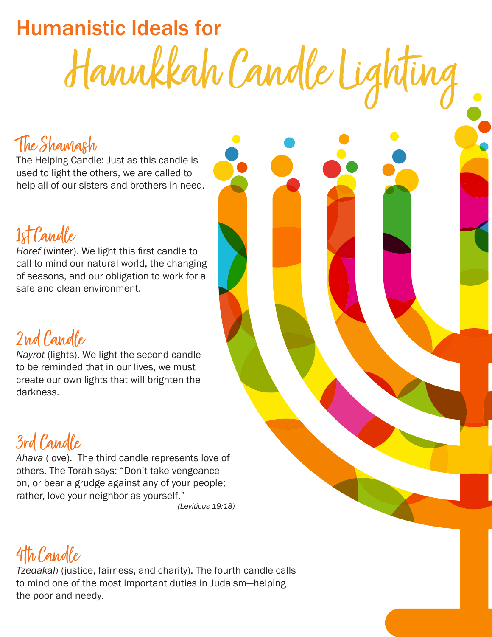# Humanistic Ideals for Hanukkah Candle Lighting

#### The Shamash

The Helping Candle: Just as this candle is used to light the others, we are called to help all of our sisters and brothers in need.

## 1st Candle

*Horef* (winter). We light this first candle to call to mind our natural world, the changing of seasons, and our obligation to work for a safe and clean environment.

2nd Candle

*Nayrot* (lights). We light the second candle to be reminded that in our lives, we must create our own lights that will brighten the darkness.



*Ahava* (love).The third candle represents love of others. The Torah says: "Don't take vengeance on, or bear a grudge against any of your people; rather, love your neighbor as yourself."  *(Leviticus 19:18)*

4th Candle

*Tzedakah* (justice, fairness, and charity). The fourth candle calls to mind one of the most important duties in Judaism—helping the poor and needy.